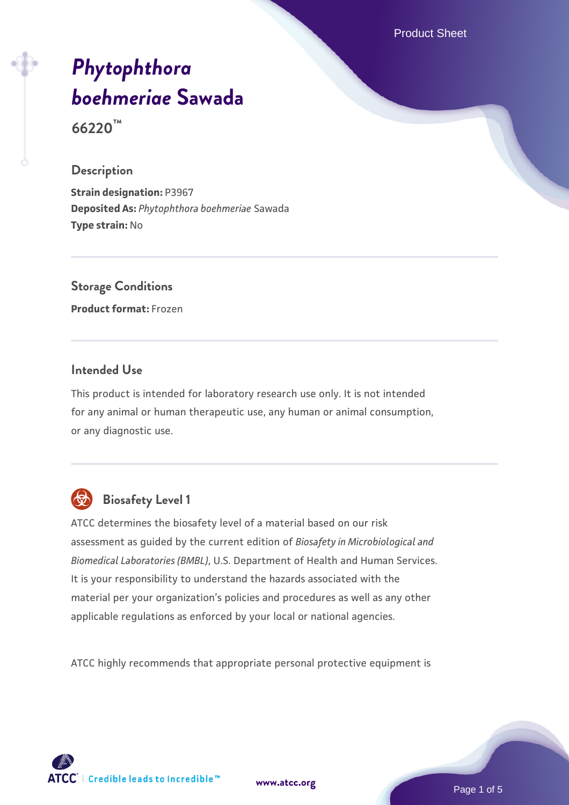Product Sheet

# *[Phytophthora](https://www.atcc.org/products/66220) [boehmeriae](https://www.atcc.org/products/66220)* **[Sawada](https://www.atcc.org/products/66220)**

**66220™**

#### **Description**

**Strain designation:** P3967 **Deposited As:** *Phytophthora boehmeriae* Sawada **Type strain:** No

### **Storage Conditions**

**Product format:** Frozen

#### **Intended Use**

This product is intended for laboratory research use only. It is not intended for any animal or human therapeutic use, any human or animal consumption, or any diagnostic use.



### **Biosafety Level 1**

ATCC determines the biosafety level of a material based on our risk assessment as guided by the current edition of *Biosafety in Microbiological and Biomedical Laboratories (BMBL)*, U.S. Department of Health and Human Services. It is your responsibility to understand the hazards associated with the material per your organization's policies and procedures as well as any other applicable regulations as enforced by your local or national agencies.

ATCC highly recommends that appropriate personal protective equipment is

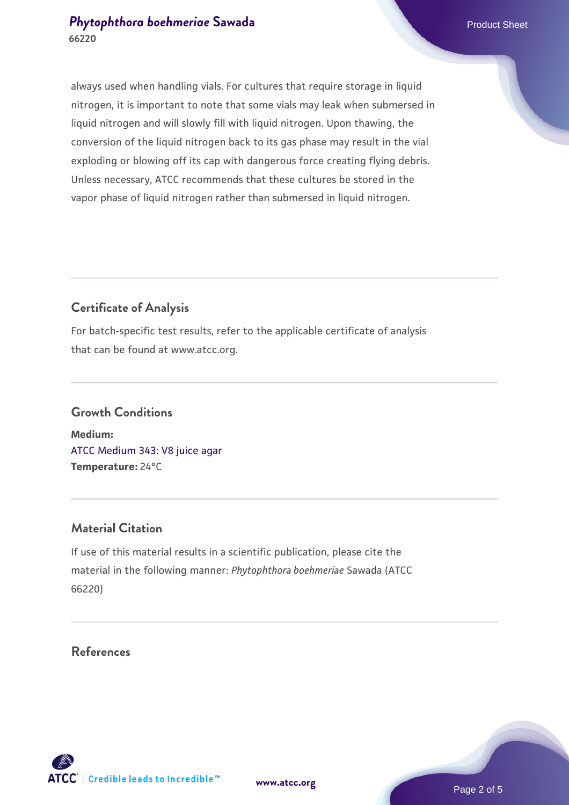#### **[Phytophthora boehmeriae](https://www.atcc.org/products/66220) [Sawada](https://www.atcc.org/products/66220)** Product Sheet **66220**

always used when handling vials. For cultures that require storage in liquid nitrogen, it is important to note that some vials may leak when submersed in liquid nitrogen and will slowly fill with liquid nitrogen. Upon thawing, the conversion of the liquid nitrogen back to its gas phase may result in the vial exploding or blowing off its cap with dangerous force creating flying debris. Unless necessary, ATCC recommends that these cultures be stored in the vapor phase of liquid nitrogen rather than submersed in liquid nitrogen.

#### **Certificate of Analysis**

For batch-specific test results, refer to the applicable certificate of analysis that can be found at www.atcc.org.

## **Growth Conditions Medium:**

[ATCC Medium 343: V8 juice agar](https://www.atcc.org/-/media/product-assets/documents/microbial-media-formulations/3/4/3/atcc-medium-0343.pdf?rev=fbf48fa24e664932828269db1822ab12) **Temperature:** 24°C

#### **Material Citation**

If use of this material results in a scientific publication, please cite the material in the following manner: *Phytophthora boehmeriae* Sawada (ATCC 66220)

#### **References**

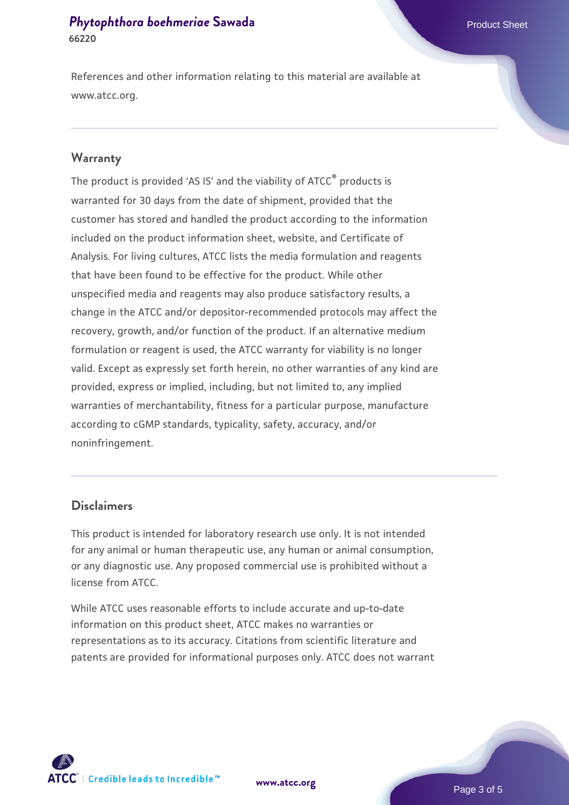#### **[Phytophthora boehmeriae](https://www.atcc.org/products/66220) [Sawada](https://www.atcc.org/products/66220)** Product Sheet **66220**

References and other information relating to this material are available at www.atcc.org.

#### **Warranty**

The product is provided 'AS IS' and the viability of ATCC® products is warranted for 30 days from the date of shipment, provided that the customer has stored and handled the product according to the information included on the product information sheet, website, and Certificate of Analysis. For living cultures, ATCC lists the media formulation and reagents that have been found to be effective for the product. While other unspecified media and reagents may also produce satisfactory results, a change in the ATCC and/or depositor-recommended protocols may affect the recovery, growth, and/or function of the product. If an alternative medium formulation or reagent is used, the ATCC warranty for viability is no longer valid. Except as expressly set forth herein, no other warranties of any kind are provided, express or implied, including, but not limited to, any implied warranties of merchantability, fitness for a particular purpose, manufacture according to cGMP standards, typicality, safety, accuracy, and/or noninfringement.

#### **Disclaimers**

This product is intended for laboratory research use only. It is not intended for any animal or human therapeutic use, any human or animal consumption, or any diagnostic use. Any proposed commercial use is prohibited without a license from ATCC.

While ATCC uses reasonable efforts to include accurate and up-to-date information on this product sheet, ATCC makes no warranties or representations as to its accuracy. Citations from scientific literature and patents are provided for informational purposes only. ATCC does not warrant

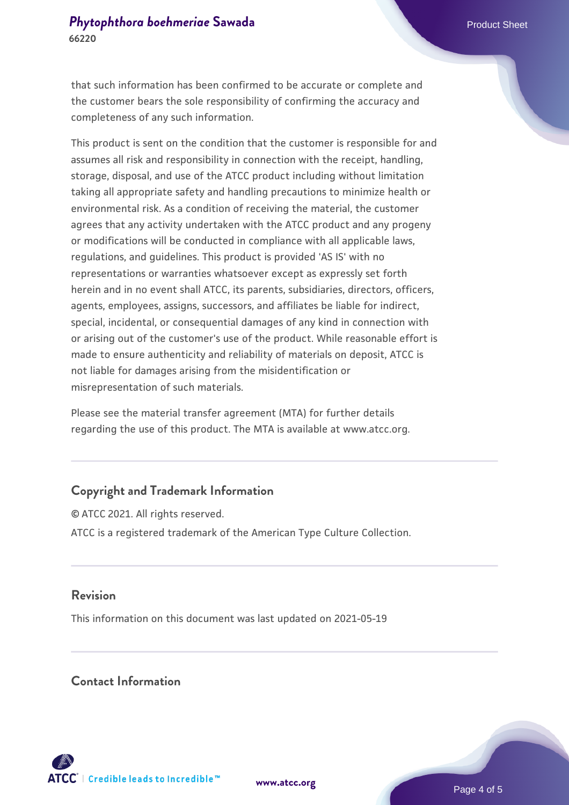that such information has been confirmed to be accurate or complete and the customer bears the sole responsibility of confirming the accuracy and completeness of any such information.

This product is sent on the condition that the customer is responsible for and assumes all risk and responsibility in connection with the receipt, handling, storage, disposal, and use of the ATCC product including without limitation taking all appropriate safety and handling precautions to minimize health or environmental risk. As a condition of receiving the material, the customer agrees that any activity undertaken with the ATCC product and any progeny or modifications will be conducted in compliance with all applicable laws, regulations, and guidelines. This product is provided 'AS IS' with no representations or warranties whatsoever except as expressly set forth herein and in no event shall ATCC, its parents, subsidiaries, directors, officers, agents, employees, assigns, successors, and affiliates be liable for indirect, special, incidental, or consequential damages of any kind in connection with or arising out of the customer's use of the product. While reasonable effort is made to ensure authenticity and reliability of materials on deposit, ATCC is not liable for damages arising from the misidentification or misrepresentation of such materials.

Please see the material transfer agreement (MTA) for further details regarding the use of this product. The MTA is available at www.atcc.org.

#### **Copyright and Trademark Information**

© ATCC 2021. All rights reserved. ATCC is a registered trademark of the American Type Culture Collection.

#### **Revision**

This information on this document was last updated on 2021-05-19

#### **Contact Information**